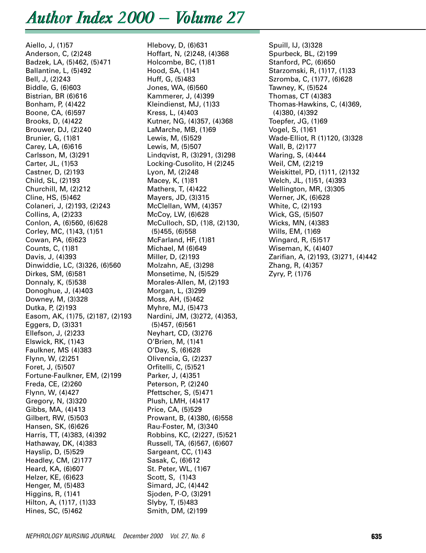# *Author Index 2000 — Volume 27*

Aiello, J, (1)57 Anderson, C, (2)248 Badzek, LA, (5)462, (5)471 Ballantine, L, (5)492 Bell, J, (2)243 Biddle, G, (6)603 Bistrian, BR (6)616 Bonham, P, (4)422 Boone, CA, (6)597 Brooks, D, (4)422 Brouwer, DJ, (2)240 Brunier, G, (1)81 Carey, LA, (6)616 Carlsson, M, (3)291 Carter, JL, (1)53 Castner, D, (2)193 Child, SL, (2)193 Churchill, M, (2)212 Cline, HS, (5)462 Colaneri, J, (2)193, (2)243 Collins, A, (2)233 Conlon, A, (6)560, (6)628 Corley, MC, (1)43, (1)51 Cowan, PA, (6)623 Counts, C, (1)81 Davis, J, (4)393 Dinwiddie, LC, (3)326, (6)560 Dirkes, SM, (6)581 Donnaly, K, (5)538 Donoghue, J, (4)403 Downey, M, (3)328 Dutka, P, (2)193 Easom, AK, (1)75, (2)187, (2)193 Eggers, D, (3)331 Ellefson, J, (2)233 Elswick, RK, (1)43 Faulkner, MS (4)383 Flynn, W, (2)251 Foret, J, (5)507 Fortune-Faulkner, EM, (2)199 Freda, CE, (2)260 Flynn, W, (4)427 Gregory, N, (3)320 Gibbs, MA, (4)413 Gilbert, RW, (5)503 Hansen, SK, (6)626 Harris, TT, (4)383, (4)392 Hathaway, DK, (4)383 Hayslip, D, (5)529 Headley, CM, (2)177 Heard, KA, (6)607 Helzer, KE, (6)623 Henger, M, (5)483 Higgins, R, (1)41 Hilton, A, (1)17, (1)33 Hines, SC, (5)462

Hlebovy, D, (6)631 Hoffart, N, (2)248, (4)368 Holcombe, BC, (1)81 Hood, SA, (1)41 Huff, G, (5)483 Jones, WA, (6)560 Kammerer, J, (4)399 Kleindienst, MJ, (1)33 Kress, L, (4)403 Kutner, NG, (4)357, (4)368 LaMarche, MB, (1)69 Lewis, M, (5)529 Lewis, M, (5)507 Lindqvist, R, (3)291, (3)298 Locking-Cusolito, H (2)245 Lyon, M, (2)248 Macey, K, (1)81 Mathers, T, (4)422 Mayers, JD, (3)315 McClellan, WM, (4)357 McCoy, LW, (6)628 McCulloch, SD, (1)8, (2)130, (5)455, (6)558 McFarland, HF, (1)81 Michael, M (6)649 Miller, D, (2)193 Molzahn, AE, (3)298 Monsetime, N, (5)529 Morales-Allen, M, (2)193 Morgan, L, (3)299 Moss, AH, (5)462 Myhre, MJ, (5)473 Nardini, JM, (3)272, (4)353, (5)457, (6)561 Neyhart, CD, (3)276 O'Brien, M, (1)41 O'Day, S, (6)628 Olivencia, G, (2)237 Orfitelli, C, (5)521 Parker, J, (4)351 Peterson, P, (2)240 Pfettscher, S, (5)471 Plush, LMH, (4)417 Price, CA, (5)529 Prowant, B, (4)380, (6)558 Rau-Foster, M, (3)340 Robbins, KC, (2)227, (5)521 Russell, TA, (6)567, (6)607 Sargeant, CC, (1)43 Sasak, C, (6)612 St. Peter, WL, (1)67 Scott, S, (1)43 Simard, JC, (4)442 Sjoden, P-O, (3)291 Slyby, T, (5)483 Smith, DM, (2)199

Spuill, IJ, (3)328 Spurbeck, BL, (2)199 Stanford, PC, (6)650 Starzomski, R, (1)17, (1)33 Szromba, C, (1)77, (6)628 Tawney, K, (5)524 Thomas, CT (4)383 Thomas-Hawkins, C, (4)369, (4)380, (4)392 Toepfer, JG, (1)69 Vogel, S, (1)61 Wade-Elliot, R (1)120, (3)328 Wall, B, (2)177 Waring, S, (4)444 Weil, CM, (2)219 Weiskittel, PD, (1)11, (2)132 Welch, JL, (1)51, (4)393 Wellington, MR, (3)305 Werner, JK, (6)628 White, C, (2)193 Wick, GS, (5)507 Wicks, MN, (4)383 Wills, EM, (1)69 Wingard, R, (5)517 Wiseman, K, (4)407 Zarifian, A, (2)193, (3)271, (4)442 Zhang, R, (4)357 Zyry, P, (1)76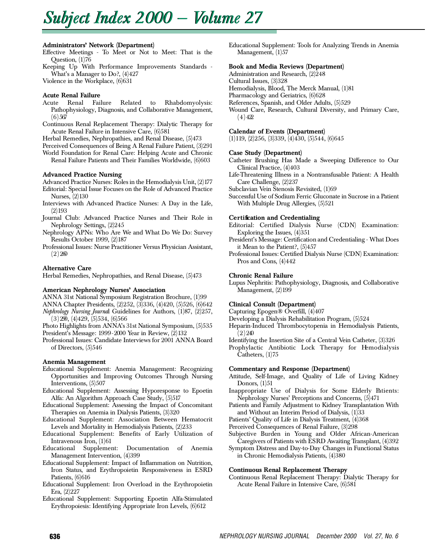# *Subject Subject Index 2000 — Volume 27*

# Administrators' Network (Department)

Effective Meetings - To Meet or Not to Meet: That is the Question, (1)76

Keeping Up With Performance Improvements Standards - What's a Manager to Do?, (4)427

Violence in the Workplace, (6)631

## Acute Renal Failure

- Acute Renal Failure Related to Rhabdomyolysis: Pathophysiology, Diagnosis, and Collaborative Management,  $(6)$  567
- Continuous Renal Replacement Therapy: Dialytic Therapy for Acute Renal Failure in Intensive Care, (6)581

Herbal Remedies, Nephropathies, and Renal Disease, (5)473

Perceived Consequences of Being A Renal Failure Patient, (3)291 World Foundation for Renal Care: Helping Acute and Chronic

Renal Failure Patients and Their Families Worldwide, (6)603

## Advanced Practice Nursing

Advanced Practice Nurses: Rolesin the Hemodialysis Unit, (2)177 Editorial: Special Issue Focuses on the Role of Advanced Practice

- Nurses, (2)130 Interviews with Advanced Practice Nurses: A Day in the Life,
- $(2)$  193 Journal Club: Advanced Practice Nurses and Their Role in
- Nephrology Settings, (2)245
- Nephrology APNs: Who Are We and What Do We Do: Survey Results October 1999, (2)187
- Professional Issues: Nurse Practitioner Versus Physician Assistant,  $(2) 200$

## Alternative Care

Herbal Remedies, Nephropathies, and Renal Disease, (5)473

## American Nephrology Nurses' Association

A NNA 31st National Symposium Registration Brochure, (1)99 A NNA Chapter Presidents, (2)252, (3)336, (4)420, (5)526, (6)642

*Nephrology Nursing Journal Guidelines for Authors, (1)87, (2)257,*  $(3) 290, (4) 429, (5) 534, (6) 566$ 

Photo Highlights from ANNA's 31st National Symposium, (5)535 President's Message: 1999-2000 Year in Review, (2)132

Professional Issues: Candidate Interviews for 2001 ANNA Board of Directors, (5)546

# Anemia Management

- Educational Supplement: Anemia Management: Recognizing Opportunities and Improving Outcomes Through Nursing Interventions,  $(5)507$
- Educational Supplement: Assessing Hyporesponse to Epoetin Alfa: An Algorithm Approach Case Study, (5)517
- Educational Supplement: Assessing the Impact of Concomitant Therapies on Anemia in Dialysis Patients, (3)320
- Educational Supplement: Association Between Hematocrit Levels and Mortality in Hemodialysis Patients, (2)233
- Educational Supplement: Benefits of Early Utilization of
- Intravenous Iron, (1)61<br>Educational Suppleme Supplement: Documentation of Anemia Management Intervention, (4)399
- Educational Supplement: Impact of Inflammation on Nutrition, Iron Status, and Erythropoietin Responsiveness in ESRD Patients, (6)616
- Educational Supplement: Iron Overload in the Erythropoietin Era, (2)227
- Educational Supplement: Supporting Epoetin Alfa-Stimulated Erythropoiesis: Identifying Appropriate Iron Levels, (6)612

Educational Supplement: Tools for Analyzing Trends in Anemia Management,  $(1)57$ 

# Book and Media Reviews (Department)

Administration and Research,  $(2)\overline{2}48$ 

Cultural Issues, (3)328

Hemodialysis, Blood, The Merck Manual, (1)81

- Pharmacology and Geriatrics, (6)628
- References, Spanish, and Older Adults, (5)529
- Wound Care, Research, Cultural Diversity, and Primary Care,  $(4)422$

# Calendar of Events (Department)

 $(1)$ 119,  $(2)$ 256,  $(3)$ 339,  $(4)$ 430,  $(5)$ 544,  $(6)$ 645

## Case Study (Department)

- Catheter Brushing Has Made a Sweeping Difference to Our Clinical Practice, (4)403
- Life-Threatening Illness in a Nontransfusable Patient: A Health Care Challenge, (2)237

Subclavian Vein Stenosis Revisited, (1)69

Successful Use of Sodium Ferric Gluconate in Sucrose in a Patient With Multiple Drug Allergies, (5)521

## Certification and Credentialing

- Editorial: Certified Dialysis Nurse (CDN) Examination: Exploring the Issues, (4)351
- President's Message: Certification and Credentialing What Does it Mean to the Patient?, (5)457
- Professional Issues: Certified Dialysis Nurse (CDN) Examination: Pros and Cons, (4)442

## Chronic Renal Failure

Lupus Nephritis: Pathophysiology, Diagnosis, and Collaborative Management, (2)199

# Clinical Consult (Department)

Capturing Epogen® Overfill, (4)407

Developing a Dialysis Rehabilitation Program, (5)524

- Heparin-Induced Thrombocytopenia in Hemodialysis Patients,  $(2) 240$
- Identifying the Insertion Site of a Central Vein Catheter, (3)326
- Prophylactic Antibiotic Lock Therapy for Hemodialysis Catheters, (1)75

## Commentary and Response (Department)

- Attitude, Self-Image, and Quality of Life of Living Kidney Donors, (1)51
- Inappropriate Use of Dialysis for Some Elderly Patients: Nephrology Nurses' Perceptions and Concerns, (5)471
- Patients and Family Adjustment to Kidney Transplantation With and Without an Interim Period of Dialysis, (1)33
- Patients' Quality of Life in Dialysis Treatment, (4)368
- Perceived Consequences of Renal Failure, (3)298
- Subjective Burden in Young and Older African-American Caregivers of Patients with ESRD Awaiting Transplant, (4)392

Symptom Distress and Day-to-Day Changes in Functional Status in Chronic Hemodialysis Patients, (4)380

## Continuous Renal Replacement Therapy

Continuous Renal Replacement Therapy: Dialytic Therapy for Acute Renal Failure in Intensive Care, (6)581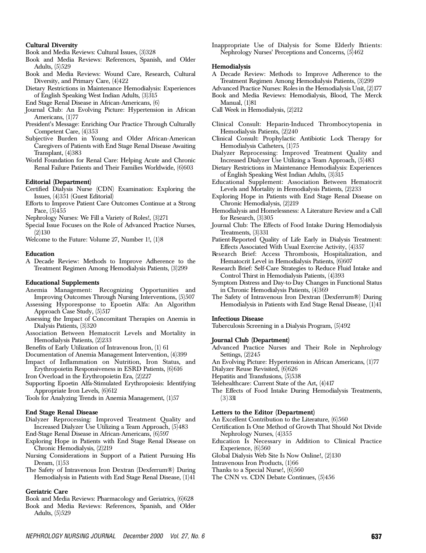## Cultural Diversity

- Book and Media Reviews: Cultural Issues, (3)328
- Book and Media Reviews: References, Spanish, and Older Adults, (5)529
- Book and Media Reviews: Wound Care, Research, Cultural Diversity, and Primary Care, (4)422
- Dietary Restrictions in Maintenance Hemodialysis: Experiences of English Speaking West Indian Adults, (3)315
- End Stage Renal Disease in African-Americans, (6)
- Journal Club: An Evolving Picture: Hypertension in African Americans, (1)77
- President's Message: Enriching Our Practice Through Culturally Competent Care, (4)353
- Subjective Burden in Young and Older African-American Caregivers of Patients with End Stage Renal Disease Awaiting Transplant, (4)383
- World Foundation for Renal Care: Helping Acute and Chronic Renal Failure Patients and Their Families Worldwide, (6)603

#### Editorial (Department)

- Certified Dialysis Nurse (CDN) Examination: Exploring the Issues,  $(4)351$  (Guest Editorial)
- Efforts to Improve Patient Care Outcomes Continue at a Strong Pace, (5)455
- Nephrology Nurses: We Fill a Variety of Roles!, (3)271
- Special Issue Focuses on the Role of Advanced Practice Nurses,  $(2)$ 130

Welcome to the Future: Volume 27, Number 1!, (1)8

### **Education**

A Decade Review: Methods to Improve Adherence to the Treatment Regimen Among Hemodialysis Patients, (3)299

#### Educational Supplements

- Anemia Management: Recognizing Opportunities and Improving Outcomes Through Nursing Interventions, (5)507
- Assessing Hyporesponse to Epoetin Alfa: An Algorithm Approach Case Study,  $(5)517$
- Assessing the Impact of Concomitant Therapies on Anemia in Dialysis Patients, (3)320
- Association Between Hematocrit Levels and Mortality in Hemodialysis Patients, (2)233

Benefits of Early Utilization of Intravenous Iron, (1) 61

Documentation of Anemia Management Intervention, (4)399

- Impact of Inflammation on Nutrition, Iron Status, and Erythropoietin Responsiveness in ESRD Patients, (6)616
- Iron Overload in the Erythropoietin Era, (2)227
- Supporting Epoetin Alfa-Stimulated Erythropoiesis: Identifying Appropriate Iron Levels, (6)612
- Tools for Analyzing Trends in Anemia Management, (1)57

#### End Stage Renal Disease

- Dialyzer Reprocessing: Improved Treatment Quality and Increased Dialyzer Use Utilizing a Team Approach, (5)483
- End-Stage Renal Disease in African-Americans, (6)597 Exploring Hope in Patients with End Stage Renal Disease on Chronic Hemodialysis, (2)219
- Nursing Considerations in Support of a Patient Pursuing His Dream, (1)53
- The Safety of Intravenous Iron Dextran (Dexferrum®) During Hemodialysis in Patients with End Stage Renal Disease, (1)41

#### Geriatric Care

Book and Media Reviews: Pharmacology and Geriatrics, (6)628 Book and Media Reviews: References, Spanish, and Older Adults, (5)529

Inappropriate Use of Dialysis for Some Elderly Patients: Nephrology Nurses' Perceptions and Concerns, (5)462

#### He modialysis

- A Decade Review: Methods to Improve Adherence to the Treatment Regimen Among Hemodialysis Patients, (3)299
- Advanced Practice Nurses: Rolesin the Hemodialysis Unit, (2)177

Book and Media Reviews: Hemodialysis, Blood, The Merck Manual, (1)81

- Call Week in Hemodialysis, (2)212
- Clinical Consult: Heparin-Induced Thrombocytopenia in Hemodialysis Patients, (2)240
- Clinical Consult: Prophylactic Antibiotic Lock Therapy for Hemodialysis Catheters, (1)75
- Dialyzer Reprocessing: Improved Treatment Quality and Increased Dialyzer Use Utilizing a Team Approach, (5)483
- Dietary Restrictions in Maintenance Hemodialysis: Experiences of English Speaking West Indian Adults, (3)315
- Educational Supplement: Association Between Hematocrit Levels and Mortality in Hemodialysis Patients, (2)233
- Exploring Hope in Patients with End Stage Renal Disease on Chronic Hemodialysis, (2)219
- Hemodialysis and Homelessness: A Literature Review and a Call for Research,  $(3)305$
- Journal Club: The Effects of Food Intake During Hemodialysis Treatments, (3)331
- Patient-Reported Quality of Life Early in Dialysis Treatment: Effects Associated With Usual Exercise Activity, (4)357
- Research Brief: Access Thrombosis, Hospitalization, and Hematocrit Level in Hemodialysis Patients, (6)607
- Research Brief: Self-Care Strategies to Reduce Fluid Intake and Control Thirst in Hemodialysis Patients, (4)393
- Symptom Distress and Day-to-Day Changes in Functional Status in Chronic Hemodialysis Patients, (4)369
- The Safety of Intravenous Iron Dextran (Dexferrum®) During Hemodialysis in Patients with End Stage Renal Disease, (1)41

#### Infectious Disease

Tuberculosis Screening in a Dialysis Program, (5)492

## Journal Club (Department)

Advanced Practice Nurses and Their Role in Nephrology Settings, (2)245

An Evolving Picture: Hypertension in African Americans, (1)77

Dialyzer Reuse Revisited, (6)626

Hepatitis and Transfusions, (5)538

- Telehealthcare: Current State of the Art, (4)417
- The Effects of Food Intake During Hemodialysis Treatments,  $(3) 331$

#### Letters to the Editor (Department)

An Excellent Contribution to the Literature, (6)560

- Certification Is One Method of Growth That Should Not Divide Nephrology Nurses, (4)355
- Education Is Necessary in Addition to Clinical Practice Experience, (6)560
- Global Dialysis Web Site Is Now Online!, (2)130
- Intravenous Iron Products, (1)66
- Thanks to a Special Nurse!, (6)560
- The CNN vs. CDN Debate Continues, (5)456